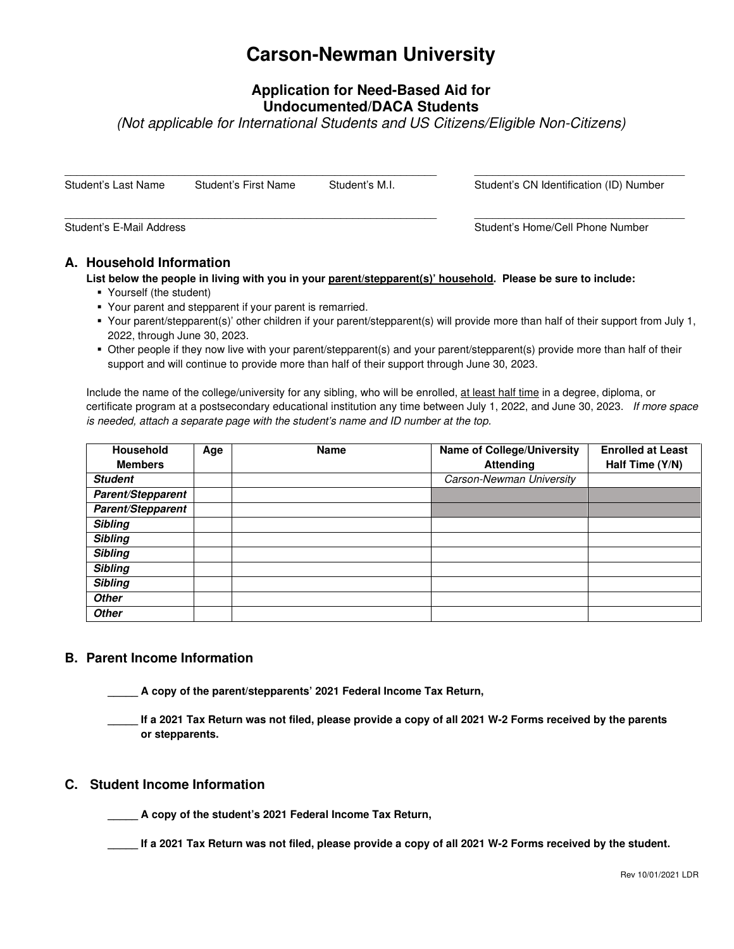# **Carson-Newman University**

# **Application for Need-Based Aid for Undocumented/DACA Students**

(Not applicable for International Students and US Citizens/Eligible Non-Citizens)

| Student's Last Name | Student's First Name | Student's M.I. | Student's CN Identification (ID) Number |
|---------------------|----------------------|----------------|-----------------------------------------|
|                     |                      |                |                                         |

Student's E-Mail Address **Student's E-Mail Address** Student's Home/Cell Phone Number

## **A. Household Information**

**List below the people in living with you in your parent/stepparent(s)' household. Please be sure to include:** 

- Yourself (the student)
- Your parent and stepparent if your parent is remarried.
- Your parent/stepparent(s)' other children if your parent/stepparent(s) will provide more than half of their support from July 1, 2022, through June 30, 2023.
- Other people if they now live with your parent/stepparent(s) and your parent/stepparent(s) provide more than half of their support and will continue to provide more than half of their support through June 30, 2023.

Include the name of the college/university for any sibling, who will be enrolled, at least half time in a degree, diploma, or certificate program at a postsecondary educational institution any time between July 1, 2022, and June 30, 2023. If more space is needed, attach a separate page with the student's name and ID number at the top.

| <b>Household</b>  | Age | <b>Name</b> | <b>Name of College/University</b> | <b>Enrolled at Least</b> |
|-------------------|-----|-------------|-----------------------------------|--------------------------|
| <b>Members</b>    |     |             | <b>Attending</b>                  | Half Time (Y/N)          |
| <b>Student</b>    |     |             | Carson-Newman University          |                          |
| Parent/Stepparent |     |             |                                   |                          |
| Parent/Stepparent |     |             |                                   |                          |
| <b>Sibling</b>    |     |             |                                   |                          |
| <b>Sibling</b>    |     |             |                                   |                          |
| <b>Sibling</b>    |     |             |                                   |                          |
| <b>Sibling</b>    |     |             |                                   |                          |
| <b>Sibling</b>    |     |             |                                   |                          |
| <b>Other</b>      |     |             |                                   |                          |
| <b>Other</b>      |     |             |                                   |                          |

### **B. Parent Income Information**

- **\_\_\_\_\_ A copy of the parent/stepparents' 2021 Federal Income Tax Return,**
- **\_\_\_\_\_ If a 2021 Tax Return was not filed, please provide a copy of all 2021 W-2 Forms received by the parents or stepparents.**

### **C. Student Income Information**

**\_\_\_\_\_ A copy of the student's 2021 Federal Income Tax Return,** 

**\_\_\_\_\_ If a 2021 Tax Return was not filed, please provide a copy of all 2021 W-2 Forms received by the student.**